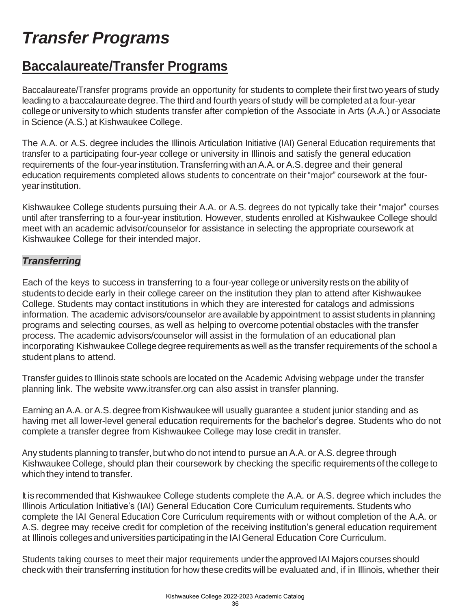# *Transfer Programs*

## **Baccalaureate/Transfer Programs**

Baccalaureate/Transfer programs provide an opportunity for students to complete their first two years of study leading to a baccalaureate degree. The third and fourth years of study will be completed at a four-year college or university to which students transfer after completion of the Associate in Arts (A.A.) or Associate in Science (A.S.) at Kishwaukee College.

The A.A. or A.S. degree includes the Illinois Articulation Initiative (IAI) General Education requirements that transfer to a participating four-year college or university in Illinois and satisfy the general education requirements of the four-year institution. Transferring with an A.A. or A.S. degree and their general education requirements completed allows students to concentrate on their "major" coursework at the fouryear institution.

Kishwaukee College students pursuing their A.A. or A.S. degrees do not typically take their "major" courses until after transferring to a four-year institution. However, students enrolled at Kishwaukee College should meet with an academic advisor/counselor for assistance in selecting the appropriate coursework at Kishwaukee College for their intended major.

#### *Transferring*

Each of the keys to success in transferring to a four-year collegeor university restson the ability of students to decide early in their college career on the institution they plan to attend after Kishwaukee College. Students may contact institutions in which they are interested for catalogs and admissions information. The academic advisors/counselor are available by appointment to assist students in planning programs and selecting courses, as well as helping to overcome potential obstacles with the transfer process. The academic advisors/counselor will assist in the formulation of an educational plan incorporating Kishwaukee College degree requirements as well as the transfer requirements of the school a student plans to attend.

Transfer guides to Illinois state schools are located on the Academic Advising webpage under the transfer planning link. The website [www.itransfer.org c](http://www.itransfer.org/)an also assist in transfer planning.

Earning an A.A. or A.S. degree from Kishwaukee will usually guarantee a student junior standing and as having met all lower-level general education requirements for the bachelor's degree. Students who do not complete a transfer degree from Kishwaukee College may lose credit in transfer.

Any students planning to transfer, but who do not intend to pursue an A.A. or A.S.degree through Kishwaukee College, should plan their coursework by checking the specific requirementsofthe collegeto which they intend to transfer.

It is recommended that Kishwaukee College students complete the A.A. or A.S. degree which includes the Illinois Articulation Initiative's (IAI) General Education Core Curriculum requirements. Students who complete the IAI General Education Core Curriculum requirements with or without completion of the A.A. or A.S. degree may receive credit for completion of the receiving institution's general education requirement at Illinois collegesand universities participatingin the IAIGeneral Education Core Curriculum.

Students taking courses to meet their major requirements underthe approved IAI Majors courses should check with their transferring institution for how these credits will be evaluated and, if in Illinois, whether their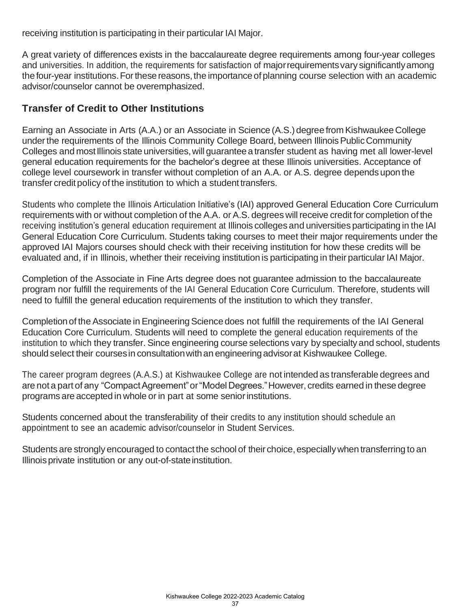receiving institution is participating in their particular IAI Major.

A great variety of differences exists in the baccalaureate degree requirements among four-year colleges and universities. In addition, the requirements for satisfaction of majorrequirementsvary significantlyamong the four-year institutions. For these reasons, the importance of planning course selection with an academic advisor/counselor cannot be overemphasized.

### **Transfer of Credit to Other Institutions**

Earning an Associate in Arts (A.A.) or an Associate in Science (A.S.) degree from Kishwaukee College under the requirements of the Illinois Community College Board, between Illinois Public Community Colleges and most Illinois state universities, will guarantee a transfer student as having met all lower-level general education requirements for the bachelor's degree at these Illinois universities. Acceptance of college level coursework in transfer without completion of an A.A. or A.S. degree depends upon the transfer credit policy of the institution to which a student transfers.

Students who complete the Illinois Articulation Initiative's (IAI) approved General Education Core Curriculum requirements with or without completion of the A.A. or A.S. degrees will receive credit for completion of the receiving institution's general education requirement at Illinois colleges and universities participating in the IAI General Education Core Curriculum. Students taking courses to meet their major requirements under the approved IAI Majors courses should check with their receiving institution for how these credits will be evaluated and, if in Illinois, whether their receiving institution is participating in their particular IAI Major.

Completion of the Associate in Fine Arts degree does not guarantee admission to the baccalaureate program nor fulfill the requirements of the IAI General Education Core Curriculum. Therefore, students will need to fulfill the general education requirements of the institution to which they transfer.

Completion of the Associate in Engineering Science does not fulfill the requirements of the IAI General Education Core Curriculum. Students will need to complete the general education requirements of the institution to which they transfer. Since engineering course selections vary by specialty and school, students should select their coursesin consultationwithan engineeringadvisorat Kishwaukee College.

The career program degrees (A.A.S.) at Kishwaukee College are not intended as transferable degrees and are not a part of any "Compact Agreement" or "Model Degrees." However, credits earned in these degree programs are accepted in whole or in part at some senior institutions.

Students concerned about the transferability of their credits to any institution should schedule an appointment to see an academic advisor/counselor in Student Services.

Students are strongly encouraged to contact the school of their choice, especially when transferring to an Illinoisprivate institution or any out-of-stateinstitution.